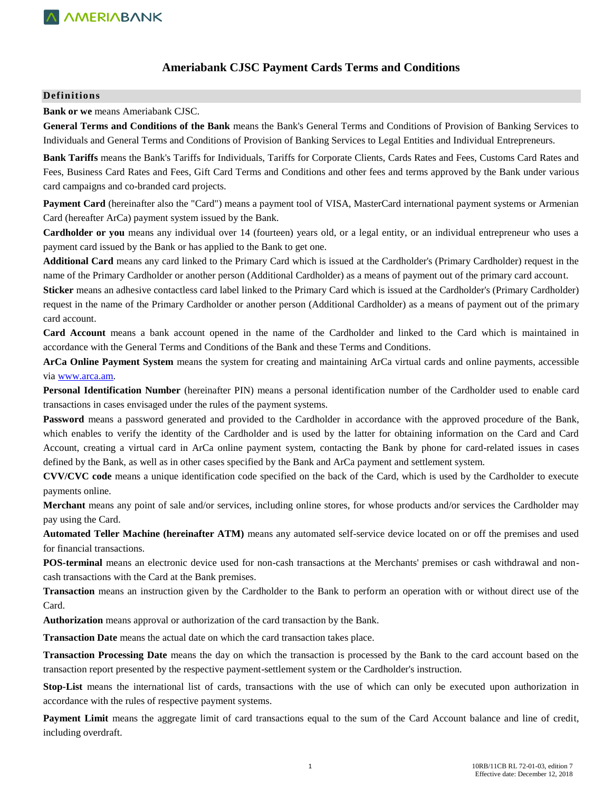## **Ameriabank CJSC Payment Cards Terms and Conditions**

#### **Definitions**

**Bank or we** means Ameriabank CJSC.

**General Terms and Conditions of the Bank** means the Bank's General Terms and Conditions of Provision of Banking Services to Individuals and General Terms and Conditions of Provision of Banking Services to Legal Entities and Individual Entrepreneurs.

**Bank Tariffs** means the Bank's Tariffs for Individuals, Tariffs for Corporate Clients, Cards Rates and Fees, Customs Card Rates and Fees, Business Card Rates and Fees, Gift Card Terms and Conditions and other fees and terms approved by the Bank under various card campaigns and co-branded card projects.

**Payment Card** (hereinafter also the "Card") means a payment tool of VISA, MasterCard international payment systems or Armenian Card (hereafter ArCa) payment system issued by the Bank.

**Cardholder or you** means any individual over 14 (fourteen) years old, or a legal entity, or an individual entrepreneur who uses a payment card issued by the Bank or has applied to the Bank to get one.

**Additional Card** means any card linked to the Primary Card which is issued at the Cardholder's (Primary Cardholder) request in the name of the Primary Cardholder or another person (Additional Cardholder) as a means of payment out of the primary card account.

**Sticker** means an adhesive contactless card label linked to the Primary Card which is issued at the Cardholder's (Primary Cardholder) request in the name of the Primary Cardholder or another person (Additional Cardholder) as a means of payment out of the primary card account.

**Card Account** means a bank account opened in the name of the Cardholder and linked to the Card which is maintained in accordance with the General Terms and Conditions of the Bank and these Terms and Conditions.

**ArCa Online Payment System** means the system for creating and maintaining ArCa virtual cards and online payments, accessible via [www.arca.am.](http://www.arca.am/) 

**Personal Identification Number** (hereinafter PIN) means a personal identification number of the Cardholder used to enable card transactions in cases envisaged under the rules of the payment systems.

**Password** means a password generated and provided to the Cardholder in accordance with the approved procedure of the Bank, which enables to verify the identity of the Cardholder and is used by the latter for obtaining information on the Card and Card Account, creating a virtual card in ArCa online payment system, contacting the Bank by phone for card-related issues in cases defined by the Bank, as well as in other cases specified by the Bank and ArCa payment and settlement system.

**CVV/CVC code** means a unique identification code specified on the back of the Card, which is used by the Cardholder to execute payments online.

**Merchant** means any point of sale and/or services, including online stores, for whose products and/or services the Cardholder may pay using the Card.

**Automated Teller Machine (hereinafter ATM)** means any automated self-service device located on or off the premises and used for financial transactions.

**POS-terminal** means an electronic device used for non-cash transactions at the Merchants' premises or cash withdrawal and noncash transactions with the Card at the Bank premises.

**Transaction** means an instruction given by the Cardholder to the Bank to perform an operation with or without direct use of the Card.

**Authorization** means approval or authorization of the card transaction by the Bank.

**Transaction Date** means the actual date on which the card transaction takes place.

**Transaction Processing Date** means the day on which the transaction is processed by the Bank to the card account based on the transaction report presented by the respective payment-settlement system or the Cardholder's instruction.

**Stop-List** means the international list of cards, transactions with the use of which can only be executed upon authorization in accordance with the rules of respective payment systems.

**Payment Limit** means the aggregate limit of card transactions equal to the sum of the Card Account balance and line of credit, including overdraft.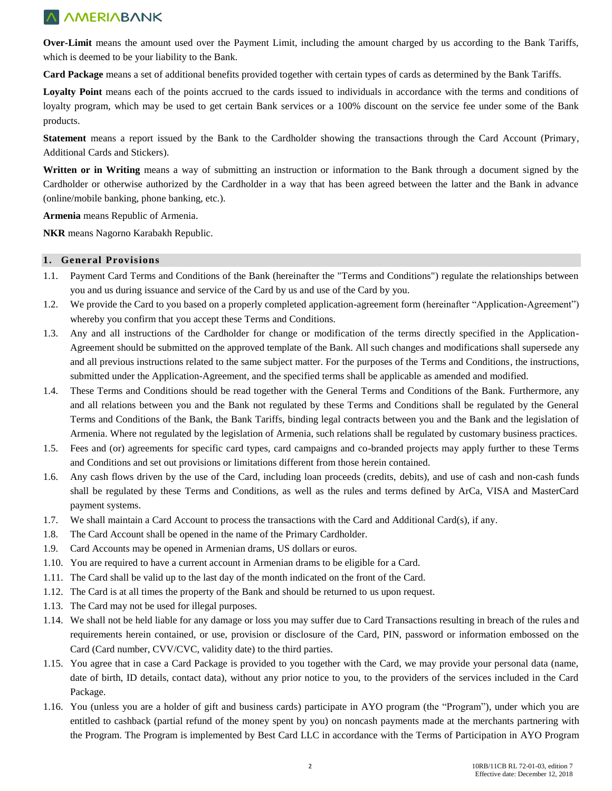**Over-Limit** means the amount used over the Payment Limit, including the amount charged by us according to the Bank Tariffs, which is deemed to be your liability to the Bank.

**Card Package** means a set of additional benefits provided together with certain types of cards as determined by the Bank Tariffs.

Loyalty Point means each of the points accrued to the cards issued to individuals in accordance with the terms and conditions of loyalty program, which may be used to get certain Bank services or a 100% discount on the service fee under some of the Bank products.

**Statement** means a report issued by the Bank to the Cardholder showing the transactions through the Card Account (Primary, Additional Cards and Stickers).

**Written or in Writing** means a way of submitting an instruction or information to the Bank through a document signed by the Cardholder or otherwise authorized by the Cardholder in a way that has been agreed between the latter and the Bank in advance (online/mobile banking, phone banking, etc.).

**Armenia** means Republic of Armenia.

**NKR** means Nagorno Karabakh Republic.

### **1. General Provisions**

- 1.1. Payment Card Terms and Conditions of the Bank (hereinafter the "Terms and Conditions") regulate the relationships between you and us during issuance and service of the Card by us and use of the Card by you.
- 1.2. We provide the Card to you based on a properly completed application-agreement form (hereinafter "Application-Agreement") whereby you confirm that you accept these Terms and Conditions.
- 1.3. Any and all instructions of the Cardholder for change or modification of the terms directly specified in the Application-Agreement should be submitted on the approved template of the Bank. All such changes and modifications shall supersede any and all previous instructions related to the same subject matter. For the purposes of the Terms and Conditions, the instructions, submitted under the Application-Agreement, and the specified terms shall be applicable as amended and modified.
- 1.4. These Terms and Conditions should be read together with the General Terms and Conditions of the Bank. Furthermore, any and all relations between you and the Bank not regulated by these Terms and Conditions shall be regulated by the General Terms and Conditions of the Bank, the Bank Tariffs, binding legal contracts between you and the Bank and the legislation of Armenia. Where not regulated by the legislation of Armenia, such relations shall be regulated by customary business practices.
- 1.5. Fees and (or) agreements for specific card types, card campaigns and co-branded projects may apply further to these Terms and Conditions and set out provisions or limitations different from those herein contained.
- 1.6. Any cash flows driven by the use of the Card, including loan proceeds (credits, debits), and use of cash and non-cash funds shall be regulated by these Terms and Conditions, as well as the rules and terms defined by ArCa, VISA and MasterCard payment systems.
- 1.7. We shall maintain a Card Account to process the transactions with the Card and Additional Card(s), if any.
- 1.8. The Card Account shall be opened in the name of the Primary Cardholder.
- 1.9. Card Accounts may be opened in Armenian drams, US dollars or euros.
- 1.10. You are required to have a current account in Armenian drams to be eligible for a Card.
- 1.11. The Card shall be valid up to the last day of the month indicated on the front of the Card.
- 1.12. The Card is at all times the property of the Bank and should be returned to us upon request.
- 1.13. The Card may not be used for illegal purposes.
- 1.14. We shall not be held liable for any damage or loss you may suffer due to Card Transactions resulting in breach of the rules and requirements herein contained, or use, provision or disclosure of the Card, PIN, password or information embossed on the Card (Card number, CVV/CVC, validity date) to the third parties.
- 1.15. You agree that in case a Card Package is provided to you together with the Card, we may provide your personal data (name, date of birth, ID details, contact data), without any prior notice to you, to the providers of the services included in the Card Package.
- 1.16. You (unless you are a holder of gift and business cards) participate in AYO program (the "Program"), under which you are entitled to cashback (partial refund of the money spent by you) on noncash payments made at the merchants partnering with the Program. The Program is implemented by Best Card LLC in accordance with the Terms of Participation in AYO Program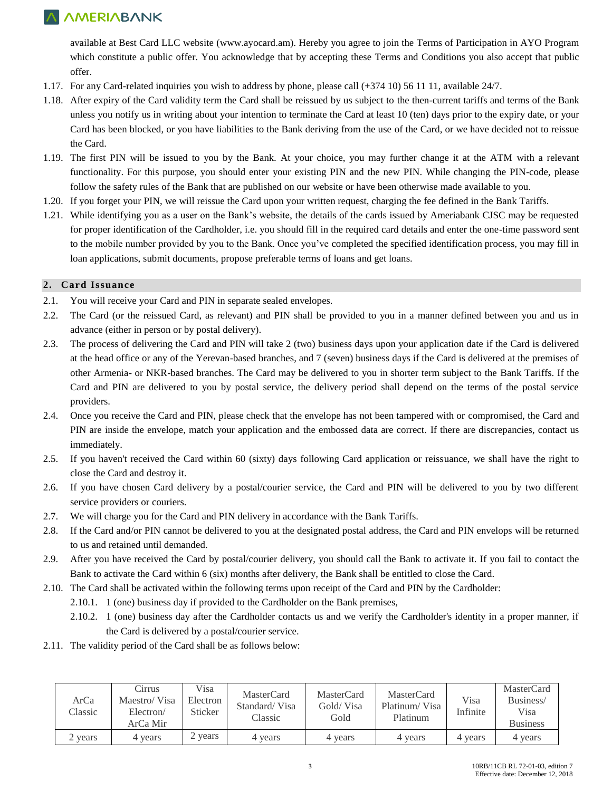available at Best Card LLC website [\(www.ayocard.am\)](http://www.ayocard.am/). Hereby you agree to join the Terms of Participation in AYO Program which constitute a public offer. You acknowledge that by accepting these Terms and Conditions you also accept that public offer.

- 1.17. For any Card-related inquiries you wish to address by phone, please call (+374 10) 56 11 11, available 24/7.
- 1.18. After expiry of the Card validity term the Card shall be reissued by us subject to the then-current tariffs and terms of the Bank unless you notify us in writing about your intention to terminate the Card at least 10 (ten) days prior to the expiry date, or your Card has been blocked, or you have liabilities to the Bank deriving from the use of the Card, or we have decided not to reissue the Card.
- 1.19. The first PIN will be issued to you by the Bank. At your choice, you may further change it at the ATM with a relevant functionality. For this purpose, you should enter your existing PIN and the new PIN. While changing the PIN-code, please follow the safety rules of the Bank that are published on our website or have been otherwise made available to you.
- 1.20. If you forget your PIN, we will reissue the Card upon your written request, charging the fee defined in the Bank Tariffs.
- 1.21. While identifying you as a user on the Bank's website, the details of the cards issued by Ameriabank CJSC may be requested for proper identification of the Cardholder, i.e. you should fill in the required card details and enter the one-time password sent to the mobile number provided by you to the Bank. Once you've completed the specified identification process, you may fill in loan applications, submit documents, propose preferable terms of loans and get loans.

### **2. Card Issuance**

- 2.1. You will receive your Card and PIN in separate sealed envelopes.
- 2.2. The Card (or the reissued Card, as relevant) and PIN shall be provided to you in a manner defined between you and us in advance (either in person or by postal delivery).
- 2.3. The process of delivering the Card and PIN will take 2 (two) business days upon your application date if the Card is delivered at the head office or any of the Yerevan-based branches, and 7 (seven) business days if the Card is delivered at the premises of other Armenia- or NKR-based branches. The Card may be delivered to you in shorter term subject to the Bank Tariffs. If the Card and PIN are delivered to you by postal service, the delivery period shall depend on the terms of the postal service providers.
- 2.4. Once you receive the Card and PIN, please check that the envelope has not been tampered with or compromised, the Card and PIN are inside the envelope, match your application and the embossed data are correct. If there are discrepancies, contact us immediately.
- 2.5. If you haven't received the Card within 60 (sixty) days following Card application or reissuance, we shall have the right to close the Card and destroy it.
- 2.6. If you have chosen Card delivery by a postal/courier service, the Card and PIN will be delivered to you by two different service providers or couriers.
- 2.7. We will charge you for the Card and PIN delivery in accordance with the Bank Tariffs.
- 2.8. If the Card and/or PIN cannot be delivered to you at the designated postal address, the Card and PIN envelops will be returned to us and retained until demanded.
- 2.9. After you have received the Card by postal/courier delivery, you should call the Bank to activate it. If you fail to contact the Bank to activate the Card within 6 (six) months after delivery, the Bank shall be entitled to close the Card.
- 2.10. The Card shall be activated within the following terms upon receipt of the Card and PIN by the Cardholder:
	- 2.10.1. 1 (one) business day if provided to the Cardholder on the Bank premises,
	- 2.10.2. 1 (one) business day after the Cardholder contacts us and we verify the Cardholder's identity in a proper manner, if the Card is delivered by a postal/courier service.
- 2.11. The validity period of the Card shall be as follows below:

| ArCa<br>Classic | Cirrus<br>Maestro/Visa<br>Electron/<br>ArCa Mir | Visa<br>Electron<br>Sticker | MasterCard<br>Standard/Visa<br>Classic | MasterCard<br>Gold/ Visa<br>Gold | MasterCard<br>Platinum/Visa<br>Platinum | Visa<br>Infinite | <b>MasterCard</b><br>Business/<br>Visa<br><b>Business</b> |
|-----------------|-------------------------------------------------|-----------------------------|----------------------------------------|----------------------------------|-----------------------------------------|------------------|-----------------------------------------------------------|
| 2 years         | 4 years                                         | 2 years                     | 4 years                                | 4 years                          | 4 years                                 | 4 years          | 4 years                                                   |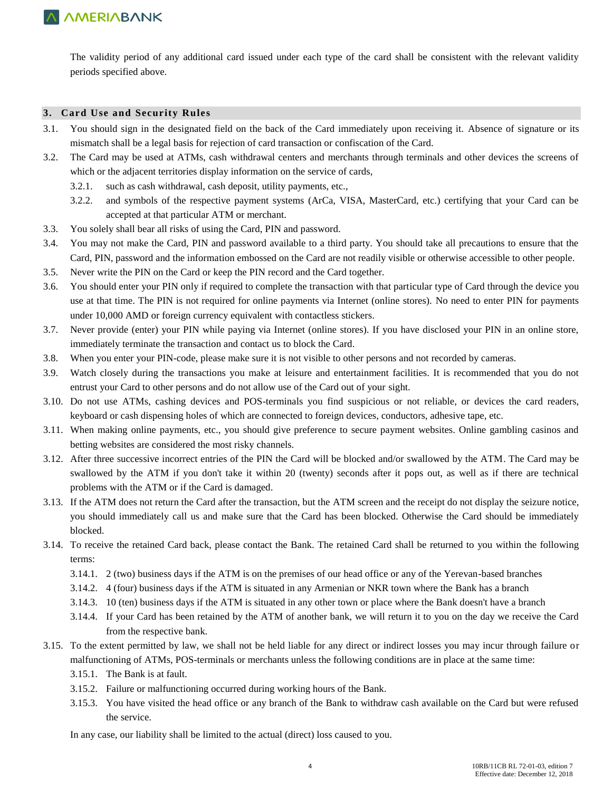The validity period of any additional card issued under each type of the card shall be consistent with the relevant validity periods specified above.

### **3. Card Use and Security Rules**

- 3.1. You should sign in the designated field on the back of the Card immediately upon receiving it. Absence of signature or its mismatch shall be a legal basis for rejection of card transaction or confiscation of the Card.
- 3.2. The Card may be used at ATMs, cash withdrawal centers and merchants through terminals and other devices the screens of which or the adjacent territories display information on the service of cards,
	- 3.2.1. such as cash withdrawal, cash deposit, utility payments, etc.,
	- 3.2.2. and symbols of the respective payment systems (ArCa, VISA, MasterCard, etc.) certifying that your Card can be accepted at that particular ATM or merchant.
- 3.3. You solely shall bear all risks of using the Card, PIN and password.
- 3.4. You may not make the Card, PIN and password available to a third party. You should take all precautions to ensure that the Card, PIN, password and the information embossed on the Card are not readily visible or otherwise accessible to other people.
- 3.5. Never write the PIN on the Card or keep the PIN record and the Card together.
- 3.6. You should enter your PIN only if required to complete the transaction with that particular type of Card through the device you use at that time. The PIN is not required for online payments via Internet (online stores). No need to enter PIN for payments under 10,000 AMD or foreign currency equivalent with contactless stickers.
- 3.7. Never provide (enter) your PIN while paying via Internet (online stores). If you have disclosed your PIN in an online store, immediately terminate the transaction and contact us to block the Card.
- 3.8. When you enter your PIN-code, please make sure it is not visible to other persons and not recorded by cameras.
- 3.9. Watch closely during the transactions you make at leisure and entertainment facilities. It is recommended that you do not entrust your Card to other persons and do not allow use of the Card out of your sight.
- 3.10. Do not use ATMs, cashing devices and POS-terminals you find suspicious or not reliable, or devices the card readers, keyboard or cash dispensing holes of which are connected to foreign devices, conductors, adhesive tape, etc.
- 3.11. When making online payments, etc., you should give preference to secure payment websites. Online gambling casinos and betting websites are considered the most risky channels.
- 3.12. After three successive incorrect entries of the PIN the Card will be blocked and/or swallowed by the ATM. The Card may be swallowed by the ATM if you don't take it within 20 (twenty) seconds after it pops out, as well as if there are technical problems with the ATM or if the Card is damaged.
- 3.13. If the ATM does not return the Card after the transaction, but the ATM screen and the receipt do not display the seizure notice, you should immediately call us and make sure that the Card has been blocked. Otherwise the Card should be immediately blocked.
- 3.14. To receive the retained Card back, please contact the Bank. The retained Card shall be returned to you within the following terms:
	- 3.14.1. 2 (two) business days if the ATM is on the premises of our head office or any of the Yerevan-based branches
	- 3.14.2. 4 (four) business days if the ATM is situated in any Armenian or NKR town where the Bank has a branch
	- 3.14.3. 10 (ten) business days if the ATM is situated in any other town or place where the Bank doesn't have a branch
	- 3.14.4. If your Card has been retained by the ATM of another bank, we will return it to you on the day we receive the Card from the respective bank.
- 3.15. To the extent permitted by law, we shall not be held liable for any direct or indirect losses you may incur through failure or malfunctioning of ATMs, POS-terminals or merchants unless the following conditions are in place at the same time:
	- 3.15.1. The Bank is at fault.
	- 3.15.2. Failure or malfunctioning occurred during working hours of the Bank.
	- 3.15.3. You have visited the head office or any branch of the Bank to withdraw cash available on the Card but were refused the service.

In any case, our liability shall be limited to the actual (direct) loss caused to you.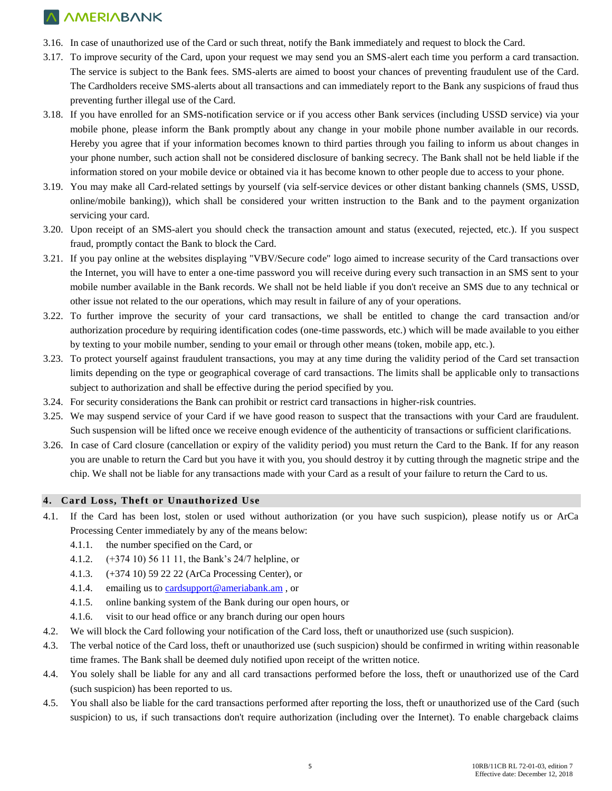- 3.16. In case of unauthorized use of the Card or such threat, notify the Bank immediately and request to block the Card.
- 3.17. To improve security of the Card, upon your request we may send you an SMS-alert each time you perform a card transaction. The service is subject to the Bank fees. SMS-alerts are aimed to boost your chances of preventing fraudulent use of the Card. The Cardholders receive SMS-alerts about all transactions and can immediately report to the Bank any suspicions of fraud thus preventing further illegal use of the Card.
- 3.18. If you have enrolled for an SMS-notification service or if you access other Bank services (including USSD service) via your mobile phone, please inform the Bank promptly about any change in your mobile phone number available in our records. Hereby you agree that if your information becomes known to third parties through you failing to inform us about changes in your phone number, such action shall not be considered disclosure of banking secrecy. The Bank shall not be held liable if the information stored on your mobile device or obtained via it has become known to other people due to access to your phone.
- 3.19. You may make all Card-related settings by yourself (via self-service devices or other distant banking channels (SMS, USSD, online/mobile banking)), which shall be considered your written instruction to the Bank and to the payment organization servicing your card.
- 3.20. Upon receipt of an SMS-alert you should check the transaction amount and status (executed, rejected, etc.). If you suspect fraud, promptly contact the Bank to block the Card.
- 3.21. If you pay online at the websites displaying "VBV/Secure code" logo aimed to increase security of the Card transactions over the Internet, you will have to enter a one-time password you will receive during every such transaction in an SMS sent to your mobile number available in the Bank records. We shall not be held liable if you don't receive an SMS due to any technical or other issue not related to the our operations, which may result in failure of any of your operations.
- 3.22. To further improve the security of your card transactions, we shall be entitled to change the card transaction and/or authorization procedure by requiring identification codes (one-time passwords, etc.) which will be made available to you either by texting to your mobile number, sending to your email or through other means (token, mobile app, etc.).
- 3.23. To protect yourself against fraudulent transactions, you may at any time during the validity period of the Card set transaction limits depending on the type or geographical coverage of card transactions. The limits shall be applicable only to transactions subject to authorization and shall be effective during the period specified by you.
- 3.24. For security considerations the Bank can prohibit or restrict card transactions in higher-risk countries.
- 3.25. We may suspend service of your Card if we have good reason to suspect that the transactions with your Card are fraudulent. Such suspension will be lifted once we receive enough evidence of the authenticity of transactions or sufficient clarifications.
- 3.26. In case of Card closure (cancellation or expiry of the validity period) you must return the Card to the Bank. If for any reason you are unable to return the Card but you have it with you, you should destroy it by cutting through the magnetic stripe and the chip. We shall not be liable for any transactions made with your Card as a result of your failure to return the Card to us.

### **4. Card Loss, Theft or Unauthorized Use**

- 4.1. If the Card has been lost, stolen or used without authorization (or you have such suspicion), please notify us or ArCa Processing Center immediately by any of the means below:
	- 4.1.1. the number specified on the Card, or
	- 4.1.2. (+374 10) 56 11 11, the Bank's 24/7 helpline, or
	- 4.1.3. (+374 10) 59 22 22 (ArCa Processing Center), or
	- 4.1.4. emailing us to [cardsupport@ameriabank.am](mailto:cardsupport@ameriabank.am), or
	- 4.1.5. online banking system of the Bank during our open hours, or
	- 4.1.6. visit to our head office or any branch during our open hours
- 4.2. We will block the Card following your notification of the Card loss, theft or unauthorized use (such suspicion).
- 4.3. The verbal notice of the Card loss, theft or unauthorized use (such suspicion) should be confirmed in writing within reasonable time frames. The Bank shall be deemed duly notified upon receipt of the written notice.
- 4.4. You solely shall be liable for any and all card transactions performed before the loss, theft or unauthorized use of the Card (such suspicion) has been reported to us.
- 4.5. You shall also be liable for the card transactions performed after reporting the loss, theft or unauthorized use of the Card (such suspicion) to us, if such transactions don't require authorization (including over the Internet). To enable chargeback claims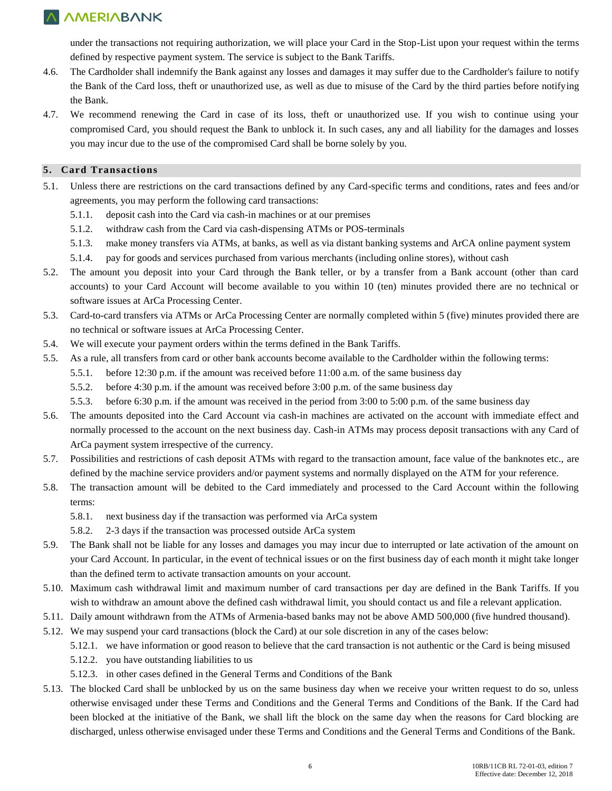under the transactions not requiring authorization, we will place your Card in the Stop-List upon your request within the terms defined by respective payment system. The service is subject to the Bank Tariffs.

- 4.6. The Cardholder shall indemnify the Bank against any losses and damages it may suffer due to the Cardholder's failure to notify the Bank of the Card loss, theft or unauthorized use, as well as due to misuse of the Card by the third parties before notifying the Bank.
- 4.7. We recommend renewing the Card in case of its loss, theft or unauthorized use. If you wish to continue using your compromised Card, you should request the Bank to unblock it. In such cases, any and all liability for the damages and losses you may incur due to the use of the compromised Card shall be borne solely by you.

#### **5. Card Transactions**

- 5.1. Unless there are restrictions on the card transactions defined by any Card-specific terms and conditions, rates and fees and/or agreements, you may perform the following card transactions:
	- 5.1.1. deposit cash into the Card via cash-in machines or at our premises
	- 5.1.2. withdraw cash from the Card via cash-dispensing ATMs or POS-terminals
	- 5.1.3. make money transfers via ATMs, at banks, as well as via distant banking systems and ArCA online payment system
	- 5.1.4. pay for goods and services purchased from various merchants (including online stores), without cash
- 5.2. The amount you deposit into your Card through the Bank teller, or by a transfer from a Bank account (other than card accounts) to your Card Account will become available to you within 10 (ten) minutes provided there are no technical or software issues at ArCa Processing Center.
- 5.3. Card-to-card transfers via ATMs or ArCa Processing Center are normally completed within 5 (five) minutes provided there are no technical or software issues at ArCa Processing Center.
- 5.4. We will execute your payment orders within the terms defined in the Bank Tariffs.
- 5.5. As a rule, all transfers from card or other bank accounts become available to the Cardholder within the following terms:
	- 5.5.1. before 12:30 p.m. if the amount was received before 11:00 a.m. of the same business day
	- 5.5.2. before 4:30 p.m. if the amount was received before 3:00 p.m. of the same business day
	- 5.5.3. before 6:30 p.m. if the amount was received in the period from 3:00 to 5:00 p.m. of the same business day
- 5.6. The amounts deposited into the Card Account via cash-in machines are activated on the account with immediate effect and normally processed to the account on the next business day. Cash-in ATMs may process deposit transactions with any Card of ArCa payment system irrespective of the currency.
- 5.7. Possibilities and restrictions of cash deposit ATMs with regard to the transaction amount, face value of the banknotes etc., are defined by the machine service providers and/or payment systems and normally displayed on the ATM for your reference.
- 5.8. The transaction amount will be debited to the Card immediately and processed to the Card Account within the following terms:
	- 5.8.1. next business day if the transaction was performed via ArCa system
	- 5.8.2. 2-3 days if the transaction was processed outside ArCa system
- 5.9. The Bank shall not be liable for any losses and damages you may incur due to interrupted or late activation of the amount on your Card Account. In particular, in the event of technical issues or on the first business day of each month it might take longer than the defined term to activate transaction amounts on your account.
- 5.10. Maximum cash withdrawal limit and maximum number of card transactions per day are defined in the Bank Tariffs. If you wish to withdraw an amount above the defined cash withdrawal limit, you should contact us and file a relevant application.
- 5.11. Daily amount withdrawn from the ATMs of Armenia-based banks may not be above AMD 500,000 (five hundred thousand).
- 5.12. We may suspend your card transactions (block the Card) at our sole discretion in any of the cases below:
	- 5.12.1. we have information or good reason to believe that the card transaction is not authentic or the Card is being misused
	- 5.12.2. you have outstanding liabilities to us
	- 5.12.3. in other cases defined in the General Terms and Conditions of the Bank
- 5.13. The blocked Card shall be unblocked by us on the same business day when we receive your written request to do so, unless otherwise envisaged under these Terms and Conditions and the General Terms and Conditions of the Bank. If the Card had been blocked at the initiative of the Bank, we shall lift the block on the same day when the reasons for Card blocking are discharged, unless otherwise envisaged under these Terms and Conditions and the General Terms and Conditions of the Bank.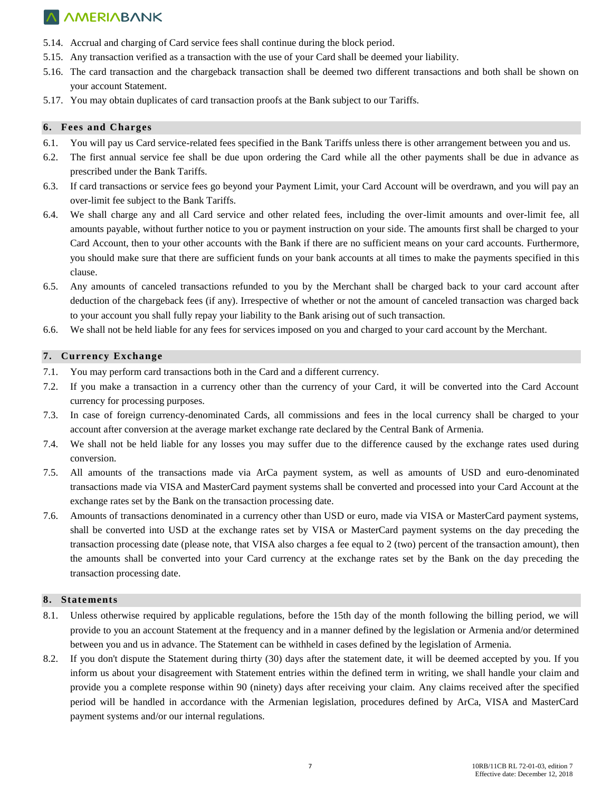- 5.14. Accrual and charging of Card service fees shall continue during the block period.
- 5.15. Any transaction verified as a transaction with the use of your Card shall be deemed your liability.
- 5.16. The card transaction and the chargeback transaction shall be deemed two different transactions and both shall be shown on your account Statement.
- 5.17. You may obtain duplicates of card transaction proofs at the Bank subject to our Tariffs.

#### **6. Fees and Charges**

- 6.1. You will pay us Card service-related fees specified in the Bank Tariffs unless there is other arrangement between you and us.
- 6.2. The first annual service fee shall be due upon ordering the Card while all the other payments shall be due in advance as prescribed under the Bank Tariffs.
- 6.3. If card transactions or service fees go beyond your Payment Limit, your Card Account will be overdrawn, and you will pay an over-limit fee subject to the Bank Tariffs.
- 6.4. We shall charge any and all Card service and other related fees, including the over-limit amounts and over-limit fee, all amounts payable, without further notice to you or payment instruction on your side. The amounts first shall be charged to your Card Account, then to your other accounts with the Bank if there are no sufficient means on your card accounts. Furthermore, you should make sure that there are sufficient funds on your bank accounts at all times to make the payments specified in this clause.
- 6.5. Any amounts of canceled transactions refunded to you by the Merchant shall be charged back to your card account after deduction of the chargeback fees (if any). Irrespective of whether or not the amount of canceled transaction was charged back to your account you shall fully repay your liability to the Bank arising out of such transaction.
- 6.6. We shall not be held liable for any fees for services imposed on you and charged to your card account by the Merchant.

#### **7. Currency Exchange**

- 7.1. You may perform card transactions both in the Card and a different currency.
- 7.2. If you make a transaction in a currency other than the currency of your Card, it will be converted into the Card Account currency for processing purposes.
- 7.3. In case of foreign currency-denominated Cards, all commissions and fees in the local currency shall be charged to your account after conversion at the average market exchange rate declared by the Central Bank of Armenia.
- 7.4. We shall not be held liable for any losses you may suffer due to the difference caused by the exchange rates used during conversion.
- 7.5. All amounts of the transactions made via ArCa payment system, as well as amounts of USD and euro-denominated transactions made via VISA and MasterCard payment systems shall be converted and processed into your Card Account at the exchange rates set by the Bank on the transaction processing date.
- 7.6. Amounts of transactions denominated in a currency other than USD or euro, made via VISA or MasterCard payment systems, shall be converted into USD at the exchange rates set by VISA or MasterCard payment systems on the day preceding the transaction processing date (please note, that VISA also charges a fee equal to 2 (two) percent of the transaction amount), then the amounts shall be converted into your Card currency at the exchange rates set by the Bank on the day preceding the transaction processing date.

#### **8. Statements**

- 8.1. Unless otherwise required by applicable regulations, before the 15th day of the month following the billing period, we will provide to you an account Statement at the frequency and in a manner defined by the legislation or Armenia and/or determined between you and us in advance. The Statement can be withheld in cases defined by the legislation of Armenia.
- 8.2. If you don't dispute the Statement during thirty (30) days after the statement date, it will be deemed accepted by you. If you inform us about your disagreement with Statement entries within the defined term in writing, we shall handle your claim and provide you a complete response within 90 (ninety) days after receiving your claim. Any claims received after the specified period will be handled in accordance with the Armenian legislation, procedures defined by ArCa, VISA and MasterCard payment systems and/or our internal regulations.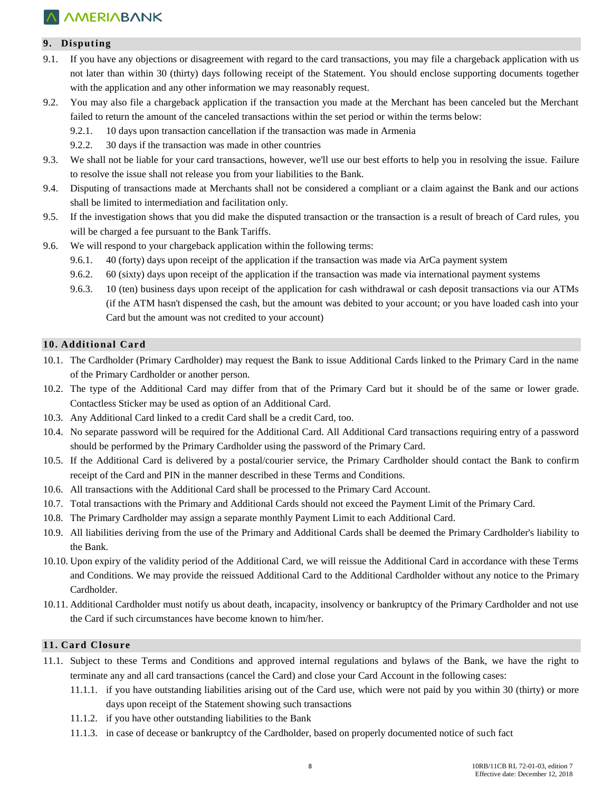### **9. Disputing**

- 9.1. If you have any objections or disagreement with regard to the card transactions, you may file a chargeback application with us not later than within 30 (thirty) days following receipt of the Statement. You should enclose supporting documents together with the application and any other information we may reasonably request.
- 9.2. You may also file a chargeback application if the transaction you made at the Merchant has been canceled but the Merchant failed to return the amount of the canceled transactions within the set period or within the terms below:
	- 9.2.1. 10 days upon transaction cancellation if the transaction was made in Armenia
	- 9.2.2. 30 days if the transaction was made in other countries
- 9.3. We shall not be liable for your card transactions, however, we'll use our best efforts to help you in resolving the issue. Failure to resolve the issue shall not release you from your liabilities to the Bank.
- 9.4. Disputing of transactions made at Merchants shall not be considered a compliant or a claim against the Bank and our actions shall be limited to intermediation and facilitation only.
- 9.5. If the investigation shows that you did make the disputed transaction or the transaction is a result of breach of Card rules, you will be charged a fee pursuant to the Bank Tariffs.
- 9.6. We will respond to your chargeback application within the following terms:
	- 9.6.1. 40 (forty) days upon receipt of the application if the transaction was made via ArCa payment system
	- 9.6.2. 60 (sixty) days upon receipt of the application if the transaction was made via international payment systems
	- 9.6.3. 10 (ten) business days upon receipt of the application for cash withdrawal or cash deposit transactions via our ATMs (if the ATM hasn't dispensed the cash, but the amount was debited to your account; or you have loaded cash into your Card but the amount was not credited to your account)

#### **10. Additional Card**

- 10.1. The Cardholder (Primary Cardholder) may request the Bank to issue Additional Cards linked to the Primary Card in the name of the Primary Cardholder or another person.
- 10.2. The type of the Additional Card may differ from that of the Primary Card but it should be of the same or lower grade. Contactless Sticker may be used as option of an Additional Card.
- 10.3. Any Additional Card linked to a credit Card shall be a credit Card, too.
- 10.4. No separate password will be required for the Additional Card. All Additional Card transactions requiring entry of a password should be performed by the Primary Cardholder using the password of the Primary Card.
- 10.5. If the Additional Card is delivered by a postal/courier service, the Primary Cardholder should contact the Bank to confirm receipt of the Card and PIN in the manner described in these Terms and Conditions.
- 10.6. All transactions with the Additional Card shall be processed to the Primary Card Account.
- 10.7. Total transactions with the Primary and Additional Cards should not exceed the Payment Limit of the Primary Card.
- 10.8. The Primary Cardholder may assign a separate monthly Payment Limit to each Additional Card.
- 10.9. All liabilities deriving from the use of the Primary and Additional Cards shall be deemed the Primary Cardholder's liability to the Bank.
- 10.10. Upon expiry of the validity period of the Additional Card, we will reissue the Additional Card in accordance with these Terms and Conditions. We may provide the reissued Additional Card to the Additional Cardholder without any notice to the Primary Cardholder.
- 10.11. Additional Cardholder must notify us about death, incapacity, insolvency or bankruptcy of the Primary Cardholder and not use the Card if such circumstances have become known to him/her.

### **11. Card Closure**

- 11.1. Subject to these Terms and Conditions and approved internal regulations and bylaws of the Bank, we have the right to terminate any and all card transactions (cancel the Card) and close your Card Account in the following cases:
	- 11.1.1. if you have outstanding liabilities arising out of the Card use, which were not paid by you within 30 (thirty) or more days upon receipt of the Statement showing such transactions
	- 11.1.2. if you have other outstanding liabilities to the Bank
	- 11.1.3. in case of decease or bankruptcy of the Cardholder, based on properly documented notice of such fact